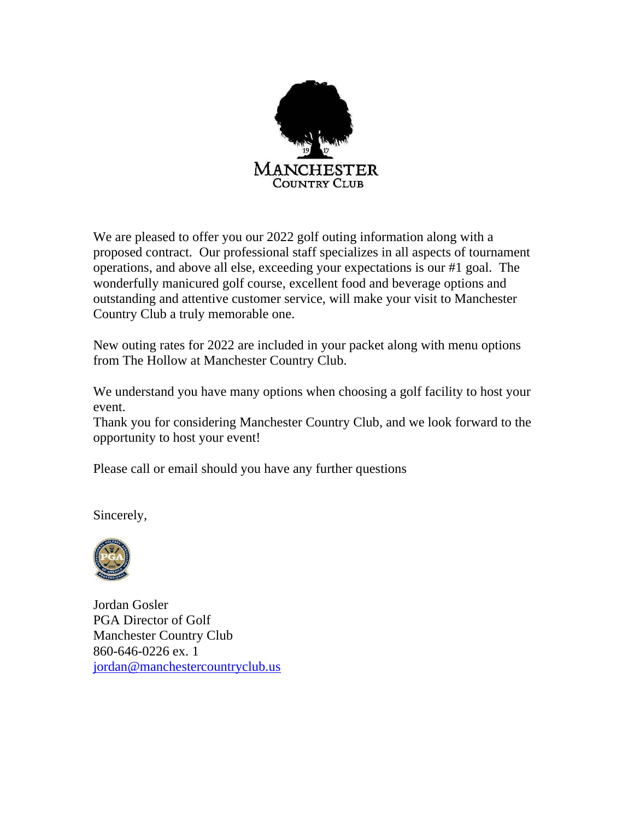

We are pleased to offer you our 2022 golf outing information along with a proposed contract. Our professional staff specializes in all aspects of tournament operations, and above all else, exceeding your expectations is our #1 goal. The wonderfully manicured golf course, excellent food and beverage options and outstanding and attentive customer service, will make your visit to Manchester Country Club a truly memorable one.

New outing rates for 2022 are included in your packet along with menu options from The Hollow at Manchester Country Club.

We understand you have many options when choosing a golf facility to host your event.

Thank you for considering Manchester Country Club, and we look forward to the opportunity to host your event!

Please call or email should you have any further questions

Sincerely,



Jordan Gosler PGA Director of Golf Manchester Country Club 860-646-0226 ex. 1 [jordan@manchestercountryclub.us](mailto:jordan@manchestercountryclub.us)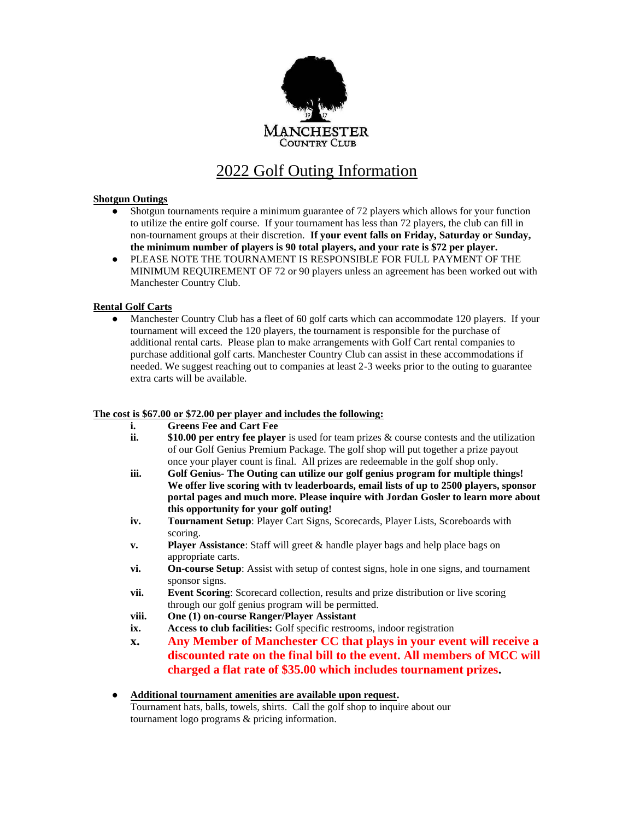

## 2022 Golf Outing Information

#### **Shotgun Outings**

- Shotgun tournaments require a minimum guarantee of 72 players which allows for your function to utilize the entire golf course. If your tournament has less than 72 players, the club can fill in non-tournament groups at their discretion. **If your event falls on Friday, Saturday or Sunday, the minimum number of players is 90 total players, and your rate is \$72 per player.**
- PLEASE NOTE THE TOURNAMENT IS RESPONSIBLE FOR FULL PAYMENT OF THE MINIMUM REQUIREMENT OF 72 or 90 players unless an agreement has been worked out with Manchester Country Club.

#### **Rental Golf Carts**

• Manchester Country Club has a fleet of 60 golf carts which can accommodate 120 players. If your tournament will exceed the 120 players, the tournament is responsible for the purchase of additional rental carts. Please plan to make arrangements with Golf Cart rental companies to purchase additional golf carts. Manchester Country Club can assist in these accommodations if needed. We suggest reaching out to companies at least 2-3 weeks prior to the outing to guarantee extra carts will be available.

#### **The cost is \$67.00 or \$72.00 per player and includes the following:**

- **i. Greens Fee and Cart Fee**
- **ii. \$10.00 per entry fee player** is used for team prizes & course contests and the utilization of our Golf Genius Premium Package. The golf shop will put together a prize payout once your player count is final. All prizes are redeemable in the golf shop only.
- **iii. Golf Genius- The Outing can utilize our golf genius program for multiple things! We offer live scoring with tv leaderboards, email lists of up to 2500 players, sponsor portal pages and much more. Please inquire with Jordan Gosler to learn more about this opportunity for your golf outing!**
- **iv. Tournament Setup**: Player Cart Signs, Scorecards, Player Lists, Scoreboards with scoring.
- **v. Player Assistance**: Staff will greet & handle player bags and help place bags on appropriate carts.
- **vi. On-course Setup**: Assist with setup of contest signs, hole in one signs, and tournament sponsor signs.
- **vii. Event Scoring**: Scorecard collection, results and prize distribution or live scoring through our golf genius program will be permitted.
- **viii. One (1) on-course Ranger/Player Assistant**
- **ix. Access to club facilities:** Golf specific restrooms, indoor registration
- **x. Any Member of Manchester CC that plays in your event will receive a discounted rate on the final bill to the event. All members of MCC will charged a flat rate of \$35.00 which includes tournament prizes.**
- **Additional tournament amenities are available upon request.**  Tournament hats, balls, towels, shirts. Call the golf shop to inquire about our tournament logo programs & pricing information.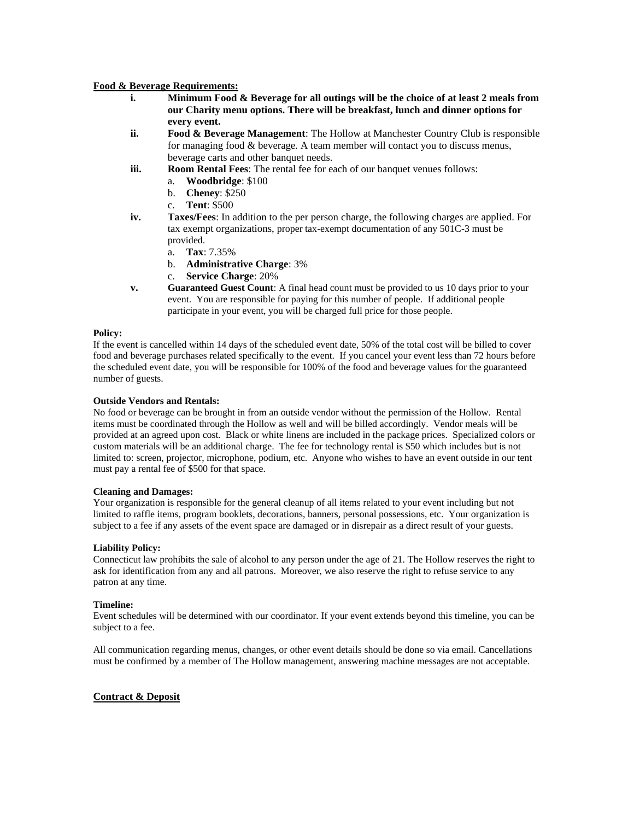#### **Food & Beverage Requirements:**

- **i. Minimum Food & Beverage for all outings will be the choice of at least 2 meals from our Charity menu options. There will be breakfast, lunch and dinner options for every event.**
- **ii. Food & Beverage Management**: The Hollow at Manchester Country Club is responsible for managing food & beverage. A team member will contact you to discuss menus, beverage carts and other banquet needs.
- **iii. Room Rental Fees**: The rental fee for each of our banquet venues follows:
	- a. **Woodbridge**: \$100
	- b. **Cheney**: \$250
	- c. **Tent**: \$500
- **iv. Taxes/Fees**: In addition to the per person charge, the following charges are applied. For tax exempt organizations, proper tax-exempt documentation of any 501C-3 must be provided.
	- a. **Tax**: 7.35%
	- b. **Administrative Charge**: 3%
	- c. **Service Charge**: 20%
- **v. Guaranteed Guest Count**: A final head count must be provided to us 10 days prior to your event. You are responsible for paying for this number of people. If additional people participate in your event, you will be charged full price for those people.

#### **Policy:**

If the event is cancelled within 14 days of the scheduled event date, 50% of the total cost will be billed to cover food and beverage purchases related specifically to the event. If you cancel your event less than 72 hours before the scheduled event date, you will be responsible for 100% of the food and beverage values for the guaranteed number of guests.

#### **Outside Vendors and Rentals:**

No food or beverage can be brought in from an outside vendor without the permission of the Hollow. Rental items must be coordinated through the Hollow as well and will be billed accordingly. Vendor meals will be provided at an agreed upon cost. Black or white linens are included in the package prices. Specialized colors or custom materials will be an additional charge. The fee for technology rental is \$50 which includes but is not limited to: screen, projector, microphone, podium, etc. Anyone who wishes to have an event outside in our tent must pay a rental fee of \$500 for that space.

#### **Cleaning and Damages:**

Your organization is responsible for the general cleanup of all items related to your event including but not limited to raffle items, program booklets, decorations, banners, personal possessions, etc. Your organization is subject to a fee if any assets of the event space are damaged or in disrepair as a direct result of your guests.

#### **Liability Policy:**

Connecticut law prohibits the sale of alcohol to any person under the age of 21. The Hollow reserves the right to ask for identification from any and all patrons. Moreover, we also reserve the right to refuse service to any patron at any time.

#### **Timeline:**

Event schedules will be determined with our coordinator. If your event extends beyond this timeline, you can be subject to a fee.

All communication regarding menus, changes, or other event details should be done so via email. Cancellations must be confirmed by a member of The Hollow management, answering machine messages are not acceptable.

#### **Contract & Deposit**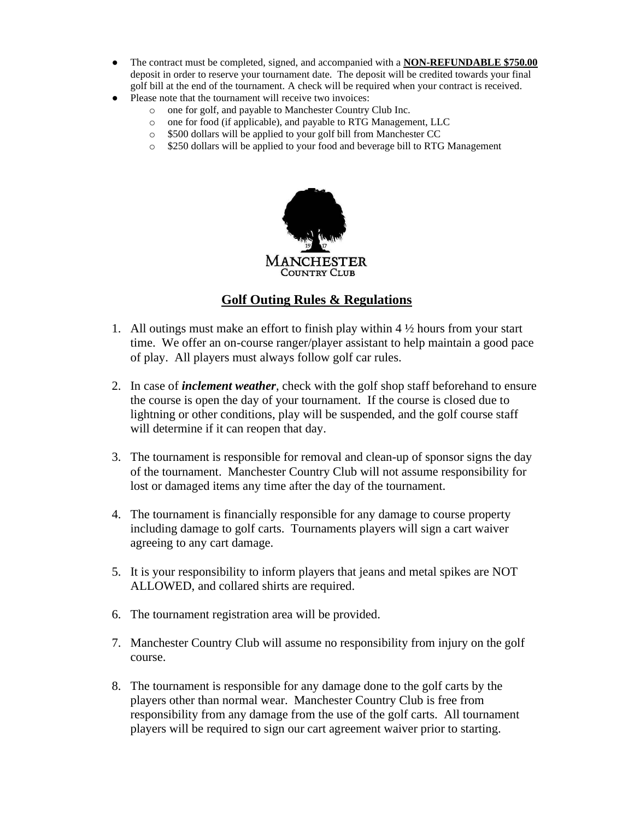- The contract must be completed, signed, and accompanied with a **NON-REFUNDABLE \$750.00** deposit in order to reserve your tournament date. The deposit will be credited towards your final golf bill at the end of the tournament. A check will be required when your contract is received.
- Please note that the tournament will receive two invoices:
	- o one for golf, and payable to Manchester Country Club Inc.
	- o one for food (if applicable), and payable to RTG Management, LLC
	- o \$500 dollars will be applied to your golf bill from Manchester CC
	- o \$250 dollars will be applied to your food and beverage bill to RTG Management



## **Golf Outing Rules & Regulations**

- 1. All outings must make an effort to finish play within 4 ½ hours from your start time. We offer an on-course ranger/player assistant to help maintain a good pace of play. All players must always follow golf car rules.
- 2. In case of *inclement weather*, check with the golf shop staff beforehand to ensure the course is open the day of your tournament. If the course is closed due to lightning or other conditions, play will be suspended, and the golf course staff will determine if it can reopen that day.
- 3. The tournament is responsible for removal and clean-up of sponsor signs the day of the tournament. Manchester Country Club will not assume responsibility for lost or damaged items any time after the day of the tournament.
- 4. The tournament is financially responsible for any damage to course property including damage to golf carts. Tournaments players will sign a cart waiver agreeing to any cart damage.
- 5. It is your responsibility to inform players that jeans and metal spikes are NOT ALLOWED, and collared shirts are required.
- 6. The tournament registration area will be provided.
- 7. Manchester Country Club will assume no responsibility from injury on the golf course.
- 8. The tournament is responsible for any damage done to the golf carts by the players other than normal wear. Manchester Country Club is free from responsibility from any damage from the use of the golf carts. All tournament players will be required to sign our cart agreement waiver prior to starting.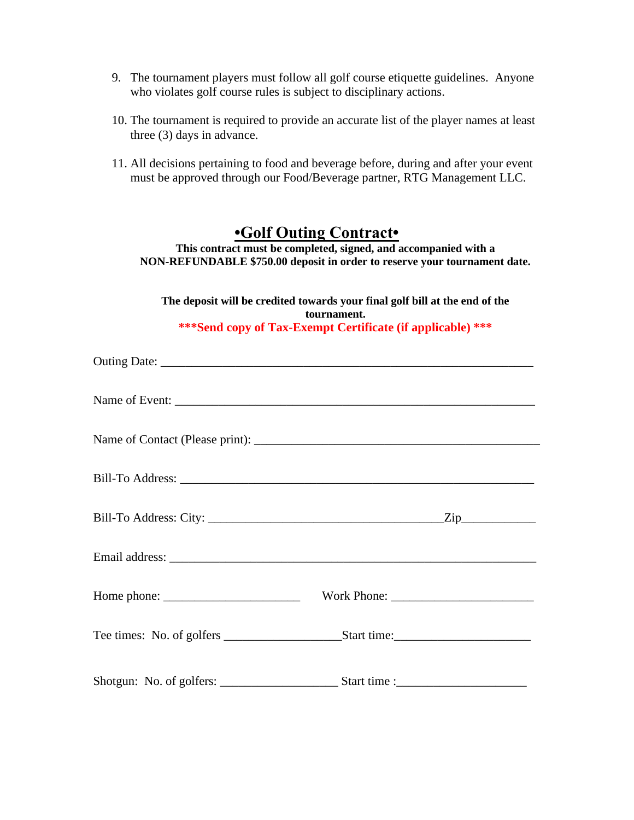- 9. The tournament players must follow all golf course etiquette guidelines. Anyone who violates golf course rules is subject to disciplinary actions.
- 10. The tournament is required to provide an accurate list of the player names at least three (3) days in advance.
- 11. All decisions pertaining to food and beverage before, during and after your event must be approved through our Food/Beverage partner, RTG Management LLC.

# **•Golf Outing Contract•**

**This contract must be completed, signed, and accompanied with a NON-REFUNDABLE \$750.00 deposit in order to reserve your tournament date.** 

**The deposit will be credited towards your final golf bill at the end of the tournament. \*\*\*Send copy of Tax-Exempt Certificate (if applicable) \*\*\***

| Name of Event: |  |
|----------------|--|
|                |  |
|                |  |
|                |  |
|                |  |
|                |  |
|                |  |
|                |  |